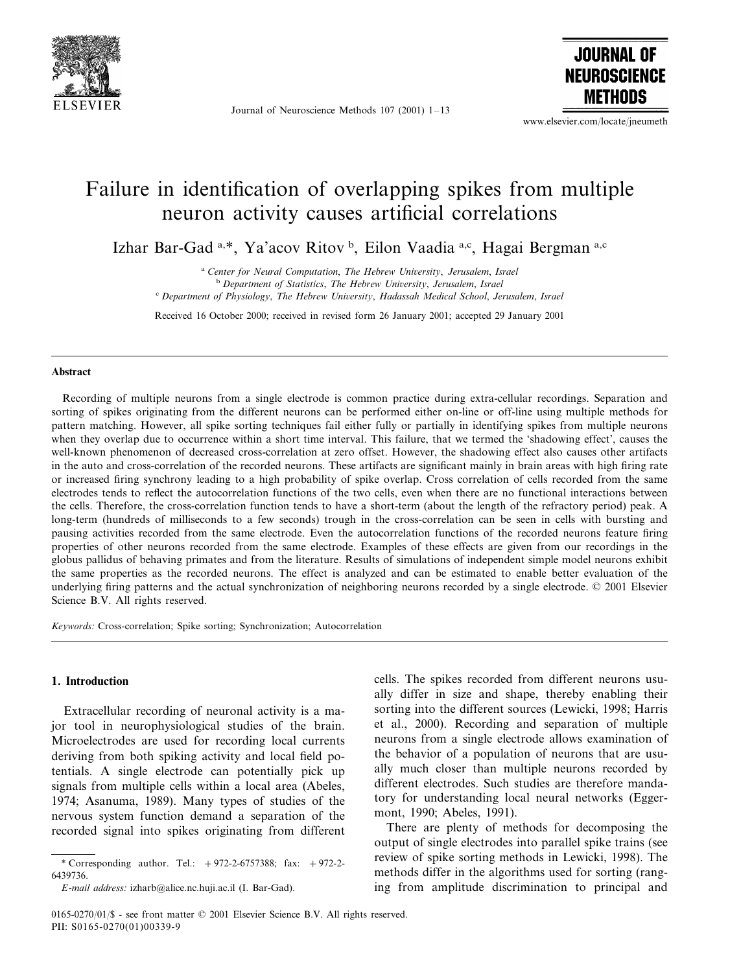

Journal of Neuroscience Methods 107 (2001) 1–13

**JOURNAL OF NEUROSCIENCE** METHODS

www.elsevier.com/locate/jneumeth

# Failure in identification of overlapping spikes from multiple neuron activity causes artificial correlations

Izhar Bar-Gad<sup>a,\*</sup>, Ya'acov Ritov<sup>b</sup>, Eilon Vaadia<sup>a,c</sup>, Hagai Bergman<sup>a,c</sup>

<sup>a</sup> *Center for Neural Computation*, *The Hebrew Uniersity*, *Jerusalem*, *Israel* <sup>b</sup> *Department of Statistics*, *The Hebrew Uniersity*, *Jerusalem*, *Israel* <sup>c</sup> *Department of Physiology*, *The Hebrew Uniersity*, *Hadassah Medical School*, *Jerusalem*, *Israel*

Received 16 October 2000; received in revised form 26 January 2001; accepted 29 January 2001

#### **Abstract**

Recording of multiple neurons from a single electrode is common practice during extra-cellular recordings. Separation and sorting of spikes originating from the different neurons can be performed either on-line or off-line using multiple methods for pattern matching. However, all spike sorting techniques fail either fully or partially in identifying spikes from multiple neurons when they overlap due to occurrence within a short time interval. This failure, that we termed the 'shadowing effect', causes the well-known phenomenon of decreased cross-correlation at zero offset. However, the shadowing effect also causes other artifacts in the auto and cross-correlation of the recorded neurons. These artifacts are significant mainly in brain areas with high firing rate or increased firing synchrony leading to a high probability of spike overlap. Cross correlation of cells recorded from the same electrodes tends to reflect the autocorrelation functions of the two cells, even when there are no functional interactions between the cells. Therefore, the cross-correlation function tends to have a short-term (about the length of the refractory period) peak. A long-term (hundreds of milliseconds to a few seconds) trough in the cross-correlation can be seen in cells with bursting and pausing activities recorded from the same electrode. Even the autocorrelation functions of the recorded neurons feature firing properties of other neurons recorded from the same electrode. Examples of these effects are given from our recordings in the globus pallidus of behaving primates and from the literature. Results of simulations of independent simple model neurons exhibit the same properties as the recorded neurons. The effect is analyzed and can be estimated to enable better evaluation of the underlying firing patterns and the actual synchronization of neighboring neurons recorded by a single electrode. © 2001 Elsevier Science B.V. All rights reserved.

*Keywords*: Cross-correlation; Spike sorting; Synchronization; Autocorrelation

## **1. Introduction**

Extracellular recording of neuronal activity is a major tool in neurophysiological studies of the brain. Microelectrodes are used for recording local currents deriving from both spiking activity and local field potentials. A single electrode can potentially pick up signals from multiple cells within a local area (Abeles, 1974; Asanuma, 1989). Many types of studies of the nervous system function demand a separation of the recorded signal into spikes originating from different

cells. The spikes recorded from different neurons usually differ in size and shape, thereby enabling their sorting into the different sources (Lewicki, 1998; Harris et al., 2000). Recording and separation of multiple neurons from a single electrode allows examination of the behavior of a population of neurons that are usually much closer than multiple neurons recorded by different electrodes. Such studies are therefore mandatory for understanding local neural networks (Eggermont, 1990; Abeles, 1991).

There are plenty of methods for decomposing the output of single electrodes into parallel spike trains (see review of spike sorting methods in Lewicki, 1998). The methods differ in the algorithms used for sorting (ranging from amplitude discrimination to principal and

<sup>\*</sup> Corresponding author. Tel.:  $+972-2-6757388$ ; fax:  $+972-2-$ 6439736.

*E*-*mail address*: izharb@alice.nc.huji.ac.il (I. Bar-Gad).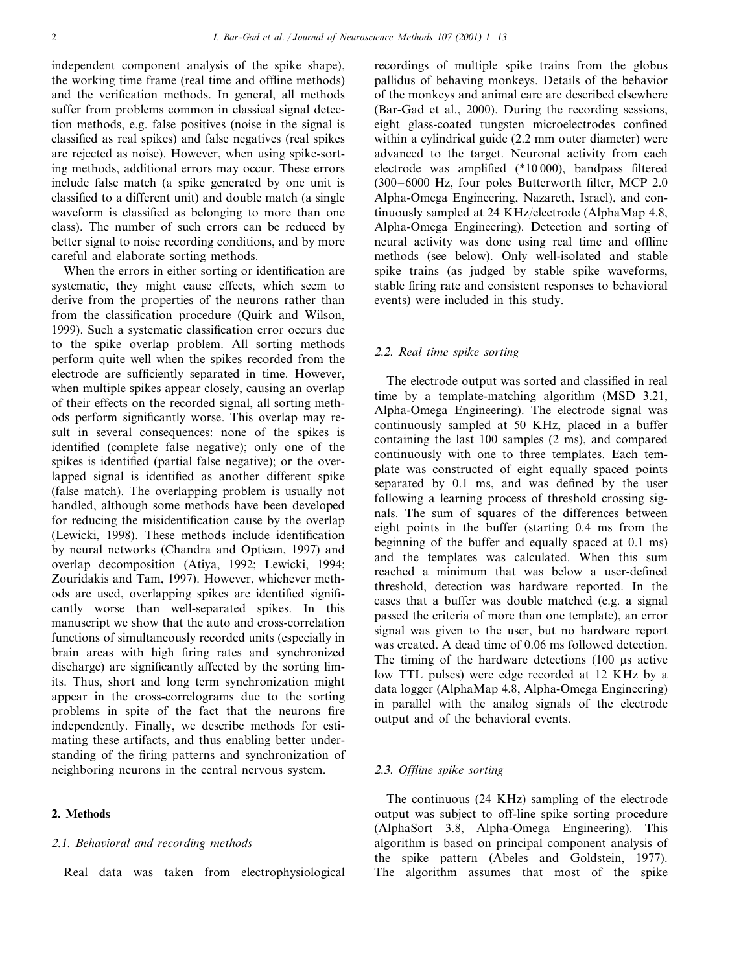independent component analysis of the spike shape), the working time frame (real time and offline methods) and the verification methods. In general, all methods suffer from problems common in classical signal detection methods, e.g. false positives (noise in the signal is classified as real spikes) and false negatives (real spikes are rejected as noise). However, when using spike-sorting methods, additional errors may occur. These errors include false match (a spike generated by one unit is classified to a different unit) and double match (a single waveform is classified as belonging to more than one class). The number of such errors can be reduced by better signal to noise recording conditions, and by more careful and elaborate sorting methods.

When the errors in either sorting or identification are systematic, they might cause effects, which seem to derive from the properties of the neurons rather than from the classification procedure (Quirk and Wilson, 1999). Such a systematic classification error occurs due to the spike overlap problem. All sorting methods perform quite well when the spikes recorded from the electrode are sufficiently separated in time. However, when multiple spikes appear closely, causing an overlap of their effects on the recorded signal, all sorting methods perform significantly worse. This overlap may result in several consequences: none of the spikes is identified (complete false negative); only one of the spikes is identified (partial false negative); or the overlapped signal is identified as another different spike (false match). The overlapping problem is usually not handled, although some methods have been developed for reducing the misidentification cause by the overlap (Lewicki, 1998). These methods include identification by neural networks (Chandra and Optican, 1997) and overlap decomposition (Atiya, 1992; Lewicki, 1994; Zouridakis and Tam, 1997). However, whichever methods are used, overlapping spikes are identified significantly worse than well-separated spikes. In this manuscript we show that the auto and cross-correlation functions of simultaneously recorded units (especially in brain areas with high firing rates and synchronized discharge) are significantly affected by the sorting limits. Thus, short and long term synchronization might appear in the cross-correlograms due to the sorting problems in spite of the fact that the neurons fire independently. Finally, we describe methods for estimating these artifacts, and thus enabling better understanding of the firing patterns and synchronization of neighboring neurons in the central nervous system.

## **2. Methods**

#### <sup>2</sup>.1. *Behaioral and recording methods*

Real data was taken from electrophysiological

recordings of multiple spike trains from the globus pallidus of behaving monkeys. Details of the behavior of the monkeys and animal care are described elsewhere (Bar-Gad et al., 2000). During the recording sessions, eight glass-coated tungsten microelectrodes confined within a cylindrical guide (2.2 mm outer diameter) were advanced to the target. Neuronal activity from each electrode was amplified (\*10 000), bandpass filtered (300–6000 Hz, four poles Butterworth filter, MCP 2.0 Alpha-Omega Engineering, Nazareth, Israel), and continuously sampled at 24 KHz/electrode (AlphaMap 4.8, Alpha-Omega Engineering). Detection and sorting of neural activity was done using real time and offline methods (see below). Only well-isolated and stable spike trains (as judged by stable spike waveforms, stable firing rate and consistent responses to behavioral events) were included in this study.

## <sup>2</sup>.2. *Real time spike sorting*

The electrode output was sorted and classified in real time by a template-matching algorithm (MSD 3.21, Alpha-Omega Engineering). The electrode signal was continuously sampled at 50 KHz, placed in a buffer containing the last 100 samples (2 ms), and compared continuously with one to three templates. Each template was constructed of eight equally spaced points separated by 0.1 ms, and was defined by the user following a learning process of threshold crossing signals. The sum of squares of the differences between eight points in the buffer (starting 0.4 ms from the beginning of the buffer and equally spaced at 0.1 ms) and the templates was calculated. When this sum reached a minimum that was below a user-defined threshold, detection was hardware reported. In the cases that a buffer was double matched (e.g. a signal passed the criteria of more than one template), an error signal was given to the user, but no hardware report was created. A dead time of 0.06 ms followed detection. The timing of the hardware detections  $(100 \mu s)$  active low TTL pulses) were edge recorded at 12 KHz by a data logger (AlphaMap 4.8, Alpha-Omega Engineering) in parallel with the analog signals of the electrode output and of the behavioral events.

#### <sup>2</sup>.3. *Offline spike sorting*

The continuous (24 KHz) sampling of the electrode output was subject to off-line spike sorting procedure (AlphaSort 3.8, Alpha-Omega Engineering). This algorithm is based on principal component analysis of the spike pattern (Abeles and Goldstein, 1977). The algorithm assumes that most of the spike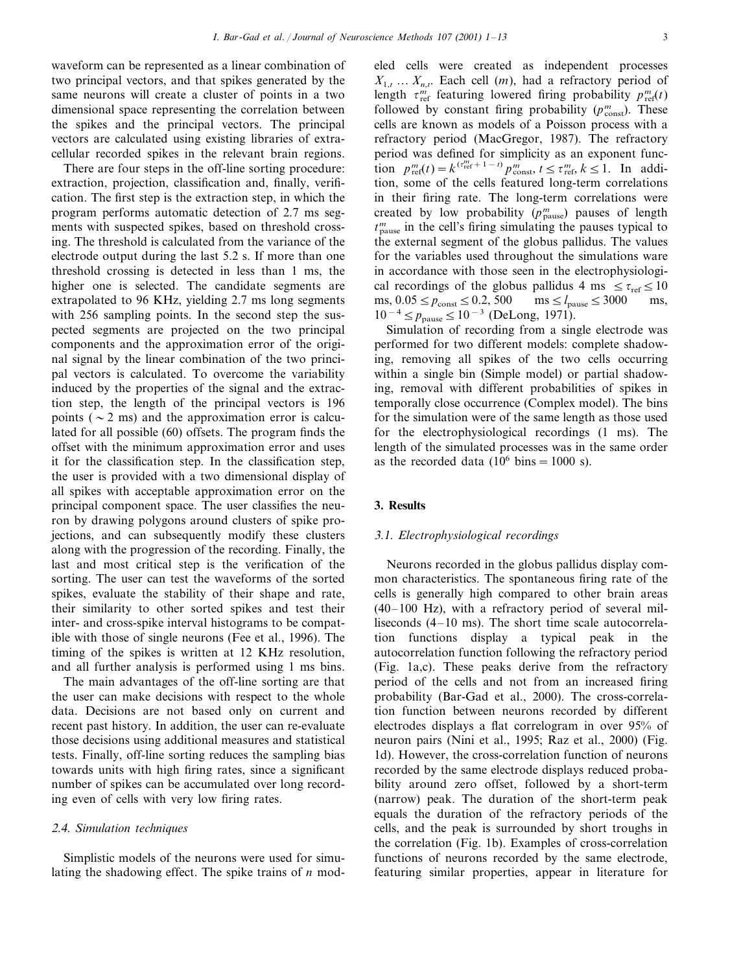waveform can be represented as a linear combination of two principal vectors, and that spikes generated by the same neurons will create a cluster of points in a two dimensional space representing the correlation between the spikes and the principal vectors. The principal vectors are calculated using existing libraries of extracellular recorded spikes in the relevant brain regions.

There are four steps in the off-line sorting procedure: extraction, projection, classification and, finally, verification. The first step is the extraction step, in which the program performs automatic detection of 2.7 ms segments with suspected spikes, based on threshold crossing. The threshold is calculated from the variance of the electrode output during the last 5.2 s. If more than one threshold crossing is detected in less than 1 ms, the higher one is selected. The candidate segments are extrapolated to 96 KHz, yielding 2.7 ms long segments with 256 sampling points. In the second step the suspected segments are projected on the two principal components and the approximation error of the original signal by the linear combination of the two principal vectors is calculated. To overcome the variability induced by the properties of the signal and the extraction step, the length of the principal vectors is 196 points ( $\sim$ 2 ms) and the approximation error is calculated for all possible (60) offsets. The program finds the offset with the minimum approximation error and uses it for the classification step. In the classification step, the user is provided with a two dimensional display of all spikes with acceptable approximation error on the principal component space. The user classifies the neuron by drawing polygons around clusters of spike projections, and can subsequently modify these clusters along with the progression of the recording. Finally, the last and most critical step is the verification of the sorting. The user can test the waveforms of the sorted spikes, evaluate the stability of their shape and rate, their similarity to other sorted spikes and test their inter- and cross-spike interval histograms to be compatible with those of single neurons (Fee et al., 1996). The timing of the spikes is written at 12 KHz resolution, and all further analysis is performed using 1 ms bins.

The main advantages of the off-line sorting are that the user can make decisions with respect to the whole data. Decisions are not based only on current and recent past history. In addition, the user can re-evaluate those decisions using additional measures and statistical tests. Finally, off-line sorting reduces the sampling bias towards units with high firing rates, since a significant number of spikes can be accumulated over long recording even of cells with very low firing rates.

#### <sup>2</sup>.4. *Simulation techniques*

Simplistic models of the neurons were used for simulating the shadowing effect. The spike trains of *n* modeled cells were created as independent processes  $X_{1,t}$  …  $X_{n,t}$ . Each cell  $(m)$ , had a refractory period of length  $\tau^m_{\text{ref}}$  featuring lowered firing probability  $p^m_{\text{ref}}(t)$ followed by constant firing probability  $(p_{\text{const}}^m)$ . These cells are known as models of a Poisson process with a refractory period (MacGregor, 1987). The refractory period was defined for simplicity as an exponent function  $p_{\text{ref}}^m(t) = k^{(\tau_{\text{ref}}^m + 1 - t)} p_{\text{const}}^m$ ,  $t \le \tau_{\text{ref}}^m$ ,  $k \le 1$ . In addition, some of the cells featured long-term correlations in their firing rate. The long-term correlations were created by low probability  $(p_{\text{pause}}^m)$  pauses of length  $t_{\text{pause}}^m$  in the cell's firing simulating the pauses typical to the external segment of the globus pallidus. The values for the variables used throughout the simulations ware in accordance with those seen in the electrophysiological recordings of the globus pallidus 4 ms  $\leq \tau_{ref} \leq 10$  $\text{ms}, 0.05 \le p_{\text{const}} \le 0.2, 500 \quad \text{ms} \le l_{\text{pause}} \le 3000 \quad \text{ms},$ 10<sup>-4</sup> ≤  $p_{\text{pause}}$  ≤ 10<sup>-3</sup> (DeLong, 1971).

Simulation of recording from a single electrode was performed for two different models: complete shadowing, removing all spikes of the two cells occurring within a single bin (Simple model) or partial shadowing, removal with different probabilities of spikes in temporally close occurrence (Complex model). The bins for the simulation were of the same length as those used for the electrophysiological recordings (1 ms). The length of the simulated processes was in the same order as the recorded data  $(10^6 \text{ bins} = 1000 \text{ s})$ .

## **3. Results**

## 3.1. *Electrophysiological recordings*

Neurons recorded in the globus pallidus display common characteristics. The spontaneous firing rate of the cells is generally high compared to other brain areas (40–100 Hz), with a refractory period of several milliseconds (4–10 ms). The short time scale autocorrelation functions display a typical peak in the autocorrelation function following the refractory period (Fig. 1a,c). These peaks derive from the refractory period of the cells and not from an increased firing probability (Bar-Gad et al., 2000). The cross-correlation function between neurons recorded by different electrodes displays a flat correlogram in over 95% of neuron pairs (Nini et al., 1995; Raz et al., 2000) (Fig. 1d). However, the cross-correlation function of neurons recorded by the same electrode displays reduced probability around zero offset, followed by a short-term (narrow) peak. The duration of the short-term peak equals the duration of the refractory periods of the cells, and the peak is surrounded by short troughs in the correlation (Fig. 1b). Examples of cross-correlation functions of neurons recorded by the same electrode, featuring similar properties, appear in literature for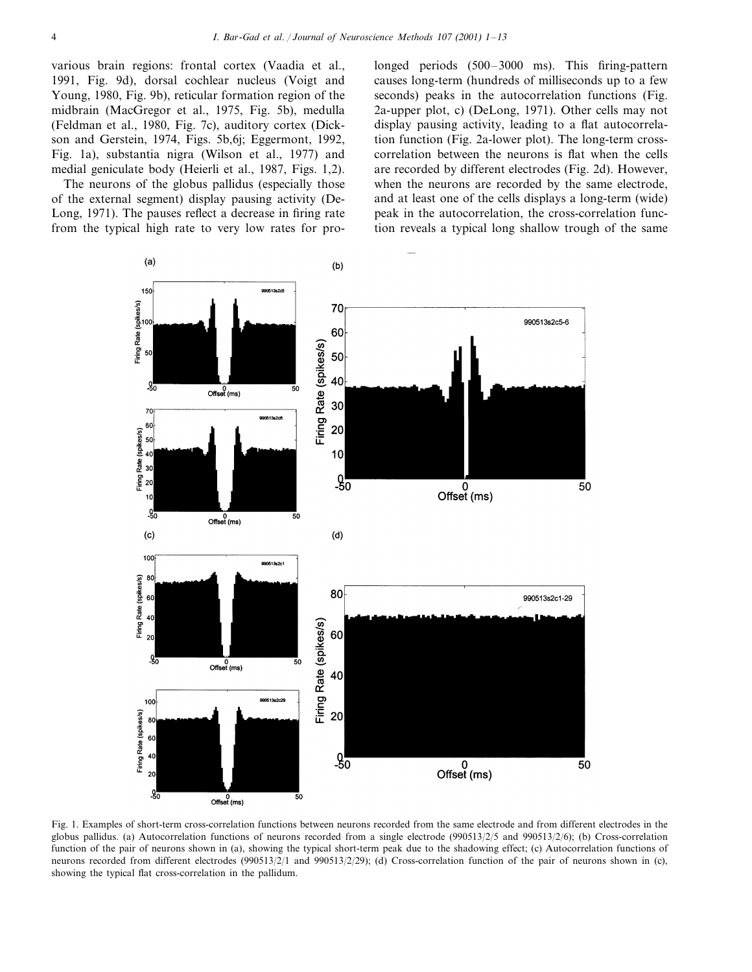various brain regions: frontal cortex (Vaadia et al., 1991, Fig. 9d), dorsal cochlear nucleus (Voigt and Young, 1980, Fig. 9b), reticular formation region of the midbrain (MacGregor et al., 1975, Fig. 5b), medulla (Feldman et al., 1980, Fig. 7c), auditory cortex (Dickson and Gerstein, 1974, Figs. 5b,6j; Eggermont, 1992, Fig. 1a), substantia nigra (Wilson et al., 1977) and medial geniculate body (Heierli et al., 1987, Figs. 1,2).

The neurons of the globus pallidus (especially those of the external segment) display pausing activity (De-Long, 1971). The pauses reflect a decrease in firing rate from the typical high rate to very low rates for prolonged periods (500–3000 ms). This firing-pattern causes long-term (hundreds of milliseconds up to a few seconds) peaks in the autocorrelation functions (Fig. 2a-upper plot, c) (DeLong, 1971). Other cells may not display pausing activity, leading to a flat autocorrelation function (Fig. 2a-lower plot). The long-term crosscorrelation between the neurons is flat when the cells are recorded by different electrodes (Fig. 2d). However, when the neurons are recorded by the same electrode, and at least one of the cells displays a long-term (wide) peak in the autocorrelation, the cross-correlation function reveals a typical long shallow trough of the same



Fig. 1. Examples of short-term cross-correlation functions between neurons recorded from the same electrode and from different electrodes in the globus pallidus. (a) Autocorrelation functions of neurons recorded from a single electrode (990513/2/5 and 990513/2/6); (b) Cross-correlation function of the pair of neurons shown in (a), showing the typical short-term peak due to the shadowing effect; (c) Autocorrelation functions of neurons recorded from different electrodes (990513/2/1 and 990513/2/29); (d) Cross-correlation function of the pair of neurons shown in (c), showing the typical flat cross-correlation in the pallidum.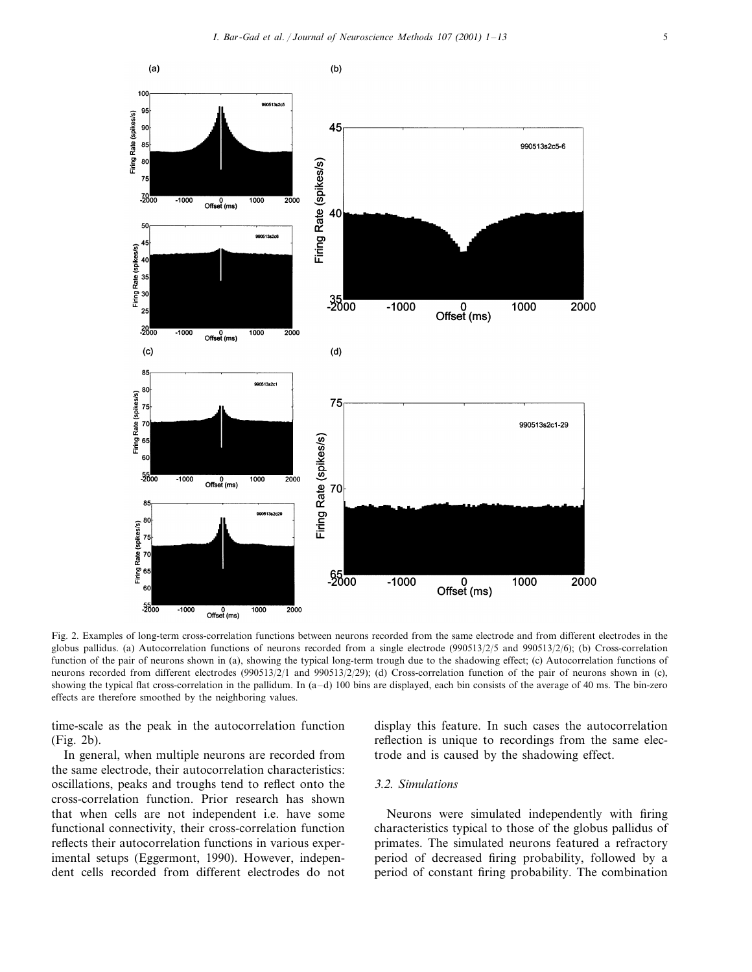

Fig. 2. Examples of long-term cross-correlation functions between neurons recorded from the same electrode and from different electrodes in the globus pallidus. (a) Autocorrelation functions of neurons recorded from a single electrode (990513/2/5 and 990513/2/6); (b) Cross-correlation function of the pair of neurons shown in (a), showing the typical long-term trough due to the shadowing effect; (c) Autocorrelation functions of neurons recorded from different electrodes (990513/2/1 and 990513/2/29); (d) Cross-correlation function of the pair of neurons shown in (c), showing the typical flat cross-correlation in the pallidum. In (a–d) 100 bins are displayed, each bin consists of the average of 40 ms. The bin-zero effects are therefore smoothed by the neighboring values.

time-scale as the peak in the autocorrelation function (Fig. 2b).

In general, when multiple neurons are recorded from the same electrode, their autocorrelation characteristics: oscillations, peaks and troughs tend to reflect onto the cross-correlation function. Prior research has shown that when cells are not independent i.e. have some functional connectivity, their cross-correlation function reflects their autocorrelation functions in various experimental setups (Eggermont, 1990). However, independent cells recorded from different electrodes do not

display this feature. In such cases the autocorrelation reflection is unique to recordings from the same electrode and is caused by the shadowing effect.

# 3.2. *Simulations*

Neurons were simulated independently with firing characteristics typical to those of the globus pallidus of primates. The simulated neurons featured a refractory period of decreased firing probability, followed by a period of constant firing probability. The combination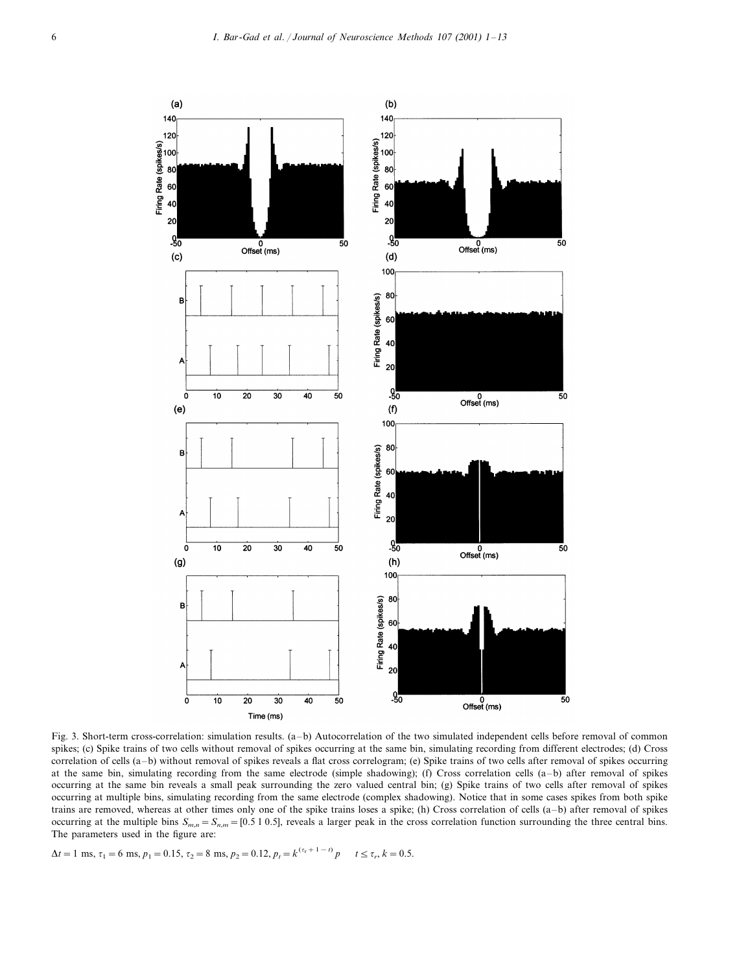

Fig. 3. Short-term cross-correlation: simulation results. (a–b) Autocorrelation of the two simulated independent cells before removal of common spikes; (c) Spike trains of two cells without removal of spikes occurring at the same bin, simulating recording from different electrodes; (d) Cross correlation of cells (a–b) without removal of spikes reveals a flat cross correlogram; (e) Spike trains of two cells after removal of spikes occurring at the same bin, simulating recording from the same electrode (simple shadowing); (f) Cross correlation cells (a–b) after removal of spikes occurring at the same bin reveals a small peak surrounding the zero valued central bin; (g) Spike trains of two cells after removal of spikes occurring at multiple bins, simulating recording from the same electrode (complex shadowing). Notice that in some cases spikes from both spike trains are removed, whereas at other times only one of the spike trains loses a spike; (h) Cross correlation of cells (a–b) after removal of spikes occurring at the multiple bins  $S_{m,n} = S_{n,m} = [0.5 1 0.5]$ , reveals a larger peak in the cross correlation function surrounding the three central bins. The parameters used in the figure are:

 $\Delta t = 1$  ms,  $\tau_1 = 6$  ms,  $p_1 = 0.15$ ,  $\tau_2 = 8$  ms,  $p_2 = 0.12$ ,  $p_t = k^{(\tau_r + 1 - t)} p$   $t \le \tau_r$ ,  $k = 0.5$ .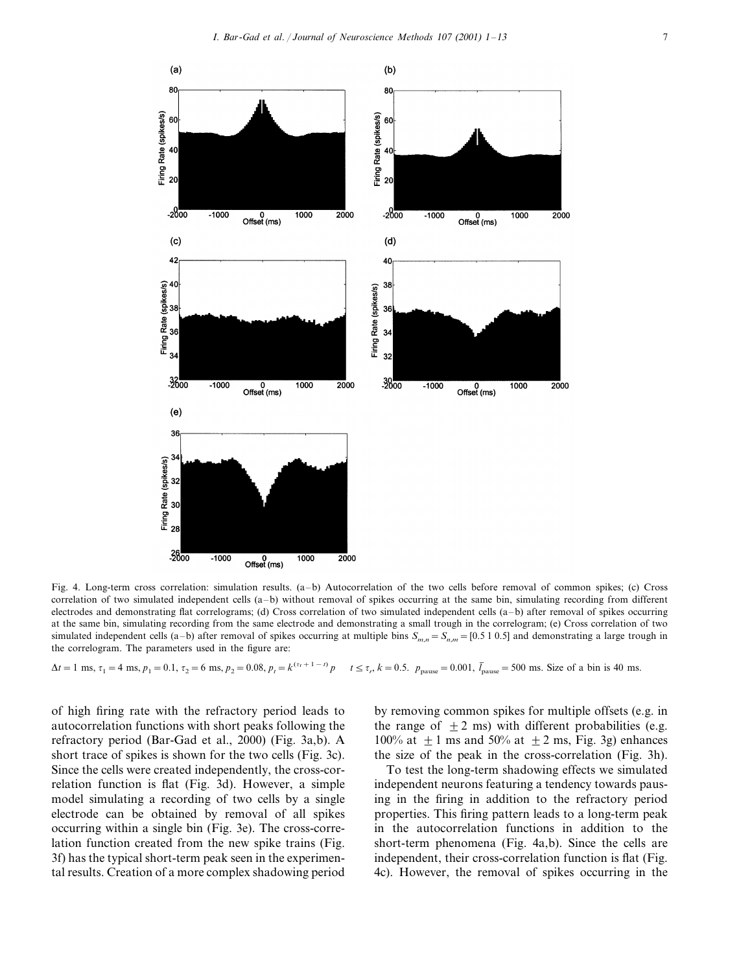

Fig. 4. Long-term cross correlation: simulation results. (a–b) Autocorrelation of the two cells before removal of common spikes; (c) Cross correlation of two simulated independent cells (a–b) without removal of spikes occurring at the same bin, simulating recording from different electrodes and demonstrating flat correlograms; (d) Cross correlation of two simulated independent cells (a–b) after removal of spikes occurring at the same bin, simulating recording from the same electrode and demonstrating a small trough in the correlogram; (e) Cross correlation of two simulated independent cells (a–b) after removal of spikes occurring at multiple bins  $S_{m,n} = S_{n,m} = [0.5 1 0.5]$  and demonstrating a large trough in the correlogram. The parameters used in the figure are:

 $\Delta t = 1$  ms,  $\tau_1 = 4$  ms,  $p_1 = 0.1$ ,  $\tau_2 = 6$  ms,  $p_2 = 0.08$ ,  $p_t = k^{(\tau_r + 1 - t)} p$   $t \le \tau_r$ ,  $k = 0.5$ .  $p_{\text{parse}} = 0.001$ ,  $\bar{l}_{\text{parse}} = 500$  ms. Size of a bin is 40 ms.

of high firing rate with the refractory period leads to autocorrelation functions with short peaks following the refractory period (Bar-Gad et al., 2000) (Fig. 3a,b). A short trace of spikes is shown for the two cells (Fig. 3c). Since the cells were created independently, the cross-correlation function is flat (Fig. 3d). However, a simple model simulating a recording of two cells by a single electrode can be obtained by removal of all spikes occurring within a single bin (Fig. 3e). The cross-correlation function created from the new spike trains (Fig. 3f) has the typical short-term peak seen in the experimental results. Creation of a more complex shadowing period by removing common spikes for multiple offsets (e.g. in the range of  $\pm 2$  ms) with different probabilities (e.g. 100% at  $\pm$  1 ms and 50% at  $\pm$  2 ms, Fig. 3g) enhances the size of the peak in the cross-correlation (Fig. 3h).

To test the long-term shadowing effects we simulated independent neurons featuring a tendency towards pausing in the firing in addition to the refractory period properties. This firing pattern leads to a long-term peak in the autocorrelation functions in addition to the short-term phenomena (Fig. 4a,b). Since the cells are independent, their cross-correlation function is flat (Fig. 4c). However, the removal of spikes occurring in the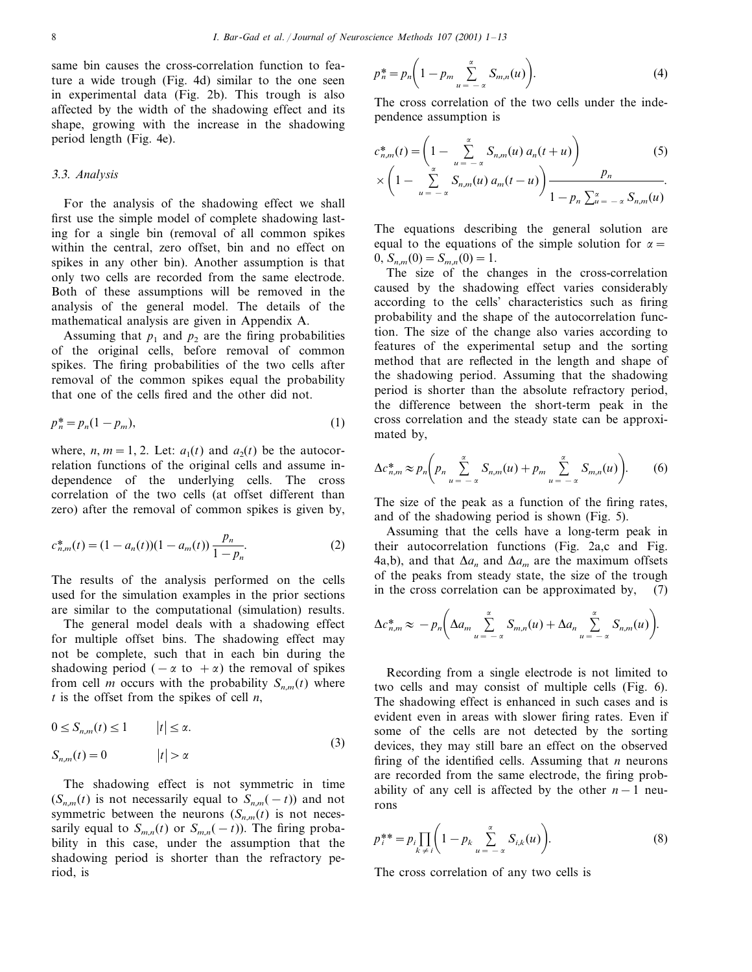same bin causes the cross-correlation function to feature a wide trough (Fig. 4d) similar to the one seen in experimental data (Fig. 2b). This trough is also affected by the width of the shadowing effect and its shape, growing with the increase in the shadowing period length (Fig. 4e).

#### 3.3. *Analysis*

For the analysis of the shadowing effect we shall first use the simple model of complete shadowing lasting for a single bin (removal of all common spikes within the central, zero offset, bin and no effect on spikes in any other bin). Another assumption is that only two cells are recorded from the same electrode. Both of these assumptions will be removed in the analysis of the general model. The details of the mathematical analysis are given in Appendix A.

Assuming that  $p_1$  and  $p_2$  are the firing probabilities of the original cells, before removal of common spikes. The firing probabilities of the two cells after removal of the common spikes equal the probability that one of the cells fired and the other did not.

$$
p_n^* = p_n(1 - p_m),
$$
 (1)

where, *n*, *m* = 1, 2. Let:  $a_1(t)$  and  $a_2(t)$  be the autocorrelation functions of the original cells and assume independence of the underlying cells. The cross correlation of the two cells (at offset different than zero) after the removal of common spikes is given by,

$$
c_{n,m}^*(t) = (1 - a_n(t))(1 - a_m(t)) \frac{p_n}{1 - p_n}.
$$
 (2)

The results of the analysis performed on the cells used for the simulation examples in the prior sections are similar to the computational (simulation) results.

The general model deals with a shadowing effect for multiple offset bins. The shadowing effect may not be complete, such that in each bin during the shadowing period  $(-\alpha \text{ to } +\alpha)$  the removal of spikes from cell *m* occurs with the probability  $S_{n,m}(t)$  where *t* is the offset from the spikes of cell *n*,

$$
0 \le S_{n,m}(t) \le 1 \qquad |t| \le \alpha.
$$
  
\n
$$
S_{n,m}(t) = 0 \qquad |t| > \alpha
$$
\n(3)

The shadowing effect is not symmetric in time  $(S_{n,m}(t)$  is not necessarily equal to  $S_{n,m}(-t)$  and not symmetric between the neurons  $(S_{n,m}(t))$  is not necessarily equal to  $S_{m,n}(t)$  or  $S_{m,n}(-t)$ ). The firing probability in this case, under the assumption that the shadowing period is shorter than the refractory period, is

$$
p_n^* = p_n \bigg( 1 - p_m \sum_{u = -\alpha}^{\alpha} S_{m,n}(u) \bigg). \tag{4}
$$

The cross correlation of the two cells under the independence assumption is

$$
c_{n,m}^{*}(t) = \left(1 - \sum_{u=-\alpha}^{\alpha} S_{n,m}(u) a_{n}(t+u)\right)
$$
(5)  

$$
\times \left(1 - \sum_{u=-\alpha}^{\alpha} S_{n,m}(u) a_{m}(t-u)\right) \frac{p_{n}}{1 - p_{n} \sum_{u=-\alpha}^{\alpha} S_{n,m}(u)}.
$$

The equations describing the general solution are equal to the equations of the simple solution for  $\alpha =$  $0, S_{n,m}(0) = S_{m,n}(0) = 1.$ 

The size of the changes in the cross-correlation caused by the shadowing effect varies considerably according to the cells' characteristics such as firing probability and the shape of the autocorrelation function. The size of the change also varies according to features of the experimental setup and the sorting method that are reflected in the length and shape of the shadowing period. Assuming that the shadowing period is shorter than the absolute refractory period, the difference between the short-term peak in the cross correlation and the steady state can be approximated by,

$$
\Delta c_{n,m}^* \approx p_n \bigg( p_n \sum_{u=-\alpha}^{\alpha} S_{n,m}(u) + p_m \sum_{u=-\alpha}^{\alpha} S_{m,n}(u) \bigg). \tag{6}
$$

The size of the peak as a function of the firing rates, and of the shadowing period is shown (Fig. 5).

Assuming that the cells have a long-term peak in their autocorrelation functions (Fig. 2a,c and Fig. 4a,b), and that  $\Delta a_n$  and  $\Delta a_m$  are the maximum offsets of the peaks from steady state, the size of the trough in the cross correlation can be approximated by, (7)

$$
\Delta c_{n,m}^* \approx -p_n \bigg(\Delta a_m \sum_{u=-\alpha}^{\alpha} S_{m,n}(u) + \Delta a_n \sum_{u=-\alpha}^{\alpha} S_{n,m}(u)\bigg).
$$

Recording from a single electrode is not limited to two cells and may consist of multiple cells (Fig. 6). The shadowing effect is enhanced in such cases and is evident even in areas with slower firing rates. Even if some of the cells are not detected by the sorting devices, they may still bare an effect on the observed firing of the identified cells. Assuming that *n* neurons are recorded from the same electrode, the firing probability of any cell is affected by the other *n*−1 neurons

$$
p_i^{**} = p_i \prod_{k \neq i} \left( 1 - p_k \sum_{u = -\alpha}^{\alpha} S_{i,k}(u) \right). \tag{8}
$$

The cross correlation of any two cells is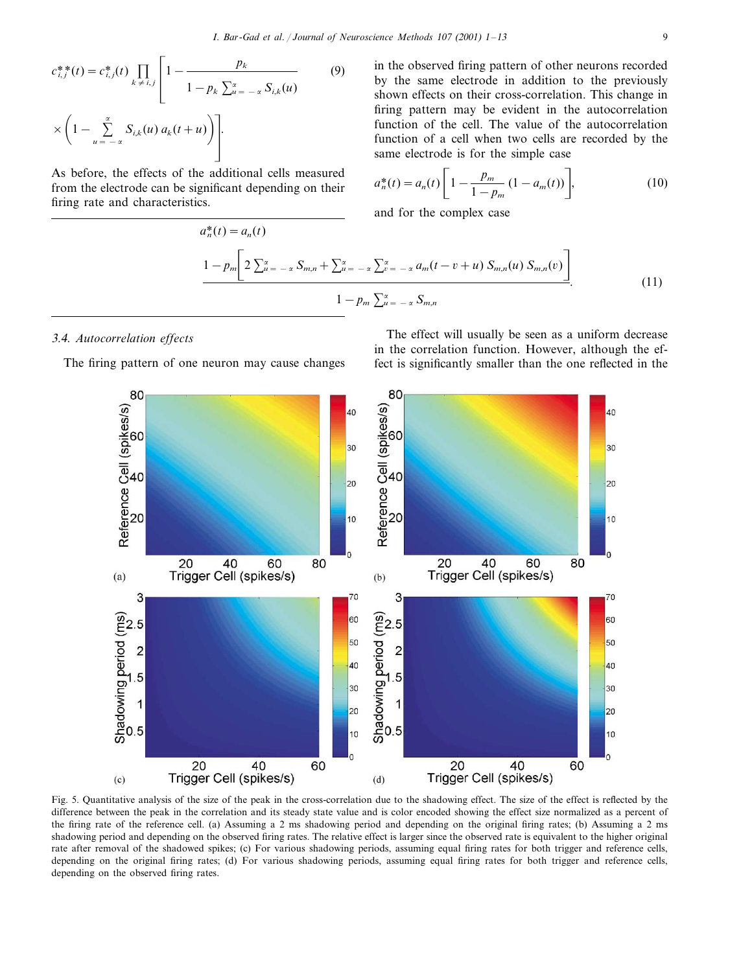$$
c_{i,j}^{**}(t) = c_{i,j}^{*}(t) \prod_{k \neq i,j} \left[ 1 - \frac{p_k}{1 - p_k \sum_{u = -\alpha}^{\alpha} S_{i,k}(u)} \right]
$$
(9)  

$$
\times \left( 1 - \sum_{u = -\alpha}^{\alpha} S_{i,k}(u) a_k(t+u) \right).
$$

As before, the effects of the additional cells measured from the electrode can be significant depending on their firing rate and characteristics.

and for the complex case  $a_n^*(t) = a_n(t)$  $1-p_m \left[ 2 \sum_{u=-\alpha}^{\alpha} S_{m,n} + \sum_{u=-\alpha}^{\alpha} \sum_{v=-\alpha}^{\alpha} a_m(t-v+u) S_{m,n}(u) S_{m,n}(v) \right]$  $1-p_m\sum_{\alpha=\alpha}^{\alpha}S_{m,n}$  $(11)$ 

#### 3.4. *Autocorrelation effects*

The firing pattern of one neuron may cause changes

The effect will usually be seen as a uniform decrease in the correlation function. However, although the effect is significantly smaller than the one reflected in the

in the observed firing pattern of other neurons recorded by the same electrode in addition to the previously shown effects on their cross-correlation. This change in firing pattern may be evident in the autocorrelation function of the cell. The value of the autocorrelation function of a cell when two cells are recorded by the

 $\frac{p_m}{1-p_m}(1-a_m(t))\right]$ 

same electrode is for the simple case

 $a_n^*(t) = a_n(t) \left[ 1 - \frac{p_m}{1-t} \right]$ 





 $(10)$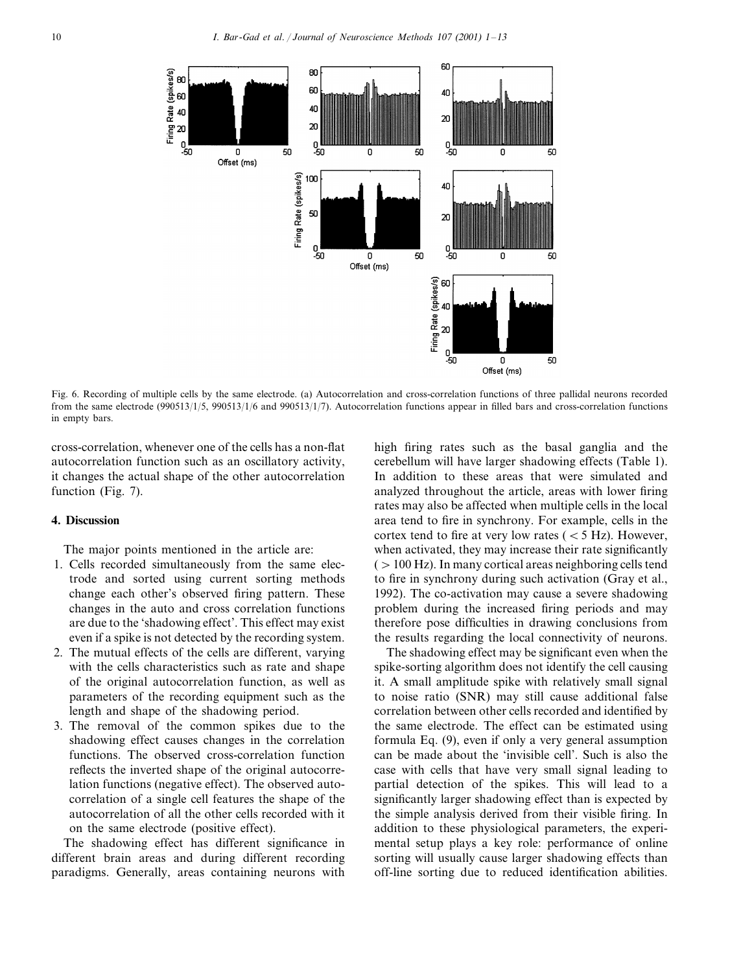

Fig. 6. Recording of multiple cells by the same electrode. (a) Autocorrelation and cross-correlation functions of three pallidal neurons recorded from the same electrode (990513/1/5, 990513/1/6 and 990513/1/7). Autocorrelation functions appear in filled bars and cross-correlation functions in empty bars.

cross-correlation, whenever one of the cells has a non-flat autocorrelation function such as an oscillatory activity, it changes the actual shape of the other autocorrelation function (Fig. 7).

# **4. Discussion**

The major points mentioned in the article are:

- 1. Cells recorded simultaneously from the same electrode and sorted using current sorting methods change each other's observed firing pattern. These changes in the auto and cross correlation functions are due to the 'shadowing effect'. This effect may exist even if a spike is not detected by the recording system.
- 2. The mutual effects of the cells are different, varying with the cells characteristics such as rate and shape of the original autocorrelation function, as well as parameters of the recording equipment such as the length and shape of the shadowing period.
- 3. The removal of the common spikes due to the shadowing effect causes changes in the correlation functions. The observed cross-correlation function reflects the inverted shape of the original autocorrelation functions (negative effect). The observed autocorrelation of a single cell features the shape of the autocorrelation of all the other cells recorded with it on the same electrode (positive effect).

The shadowing effect has different significance in different brain areas and during different recording paradigms. Generally, areas containing neurons with

high firing rates such as the basal ganglia and the cerebellum will have larger shadowing effects (Table 1). In addition to these areas that were simulated and analyzed throughout the article, areas with lower firing rates may also be affected when multiple cells in the local area tend to fire in synchrony. For example, cells in the cortex tend to fire at very low rates ( $<$  5 Hz). However, when activated, they may increase their rate significantly  $(>100$  Hz). In many cortical areas neighboring cells tend to fire in synchrony during such activation (Gray et al., 1992). The co-activation may cause a severe shadowing problem during the increased firing periods and may therefore pose difficulties in drawing conclusions from the results regarding the local connectivity of neurons.

The shadowing effect may be significant even when the spike-sorting algorithm does not identify the cell causing it. A small amplitude spike with relatively small signal to noise ratio (SNR) may still cause additional false correlation between other cells recorded and identified by the same electrode. The effect can be estimated using formula Eq. (9), even if only a very general assumption can be made about the 'invisible cell'. Such is also the case with cells that have very small signal leading to partial detection of the spikes. This will lead to a significantly larger shadowing effect than is expected by the simple analysis derived from their visible firing. In addition to these physiological parameters, the experimental setup plays a key role: performance of online sorting will usually cause larger shadowing effects than off-line sorting due to reduced identification abilities.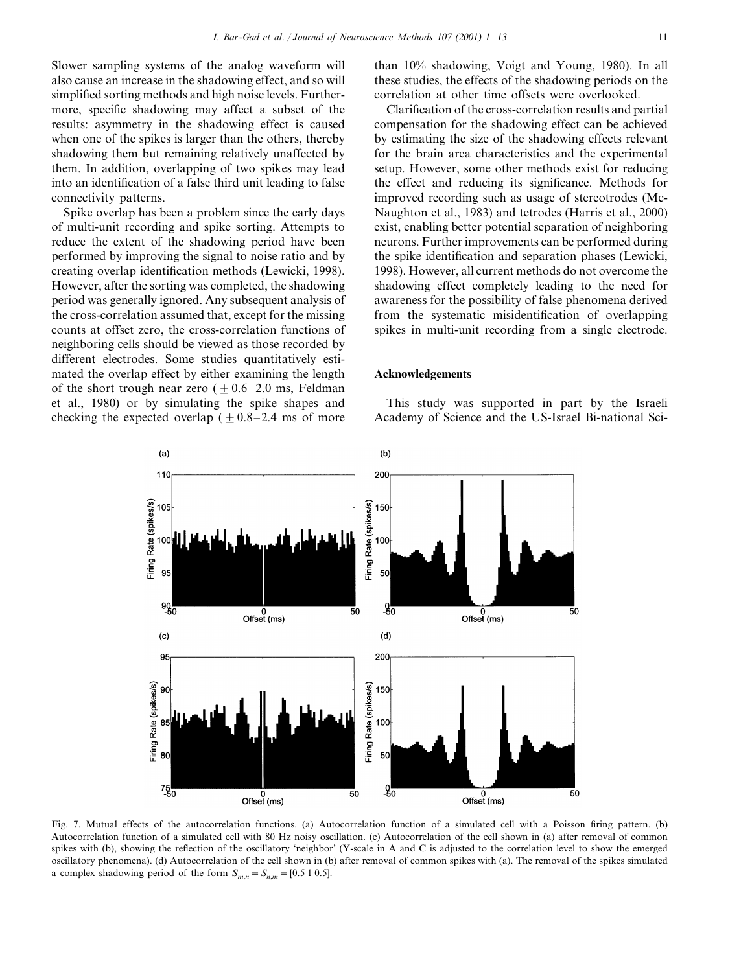Slower sampling systems of the analog waveform will also cause an increase in the shadowing effect, and so will simplified sorting methods and high noise levels. Furthermore, specific shadowing may affect a subset of the results: asymmetry in the shadowing effect is caused when one of the spikes is larger than the others, thereby shadowing them but remaining relatively unaffected by them. In addition, overlapping of two spikes may lead into an identification of a false third unit leading to false connectivity patterns.

Spike overlap has been a problem since the early days of multi-unit recording and spike sorting. Attempts to reduce the extent of the shadowing period have been performed by improving the signal to noise ratio and by creating overlap identification methods (Lewicki, 1998). However, after the sorting was completed, the shadowing period was generally ignored. Any subsequent analysis of the cross-correlation assumed that, except for the missing counts at offset zero, the cross-correlation functions of neighboring cells should be viewed as those recorded by different electrodes. Some studies quantitatively estimated the overlap effect by either examining the length of the short trough near zero ( $\pm$  0.6–2.0 ms, Feldman et al., 1980) or by simulating the spike shapes and checking the expected overlap  $(+0.8-2.4 \text{ ms of more})$ 

than 10% shadowing, Voigt and Young, 1980). In all these studies, the effects of the shadowing periods on the correlation at other time offsets were overlooked.

Clarification of the cross-correlation results and partial compensation for the shadowing effect can be achieved by estimating the size of the shadowing effects relevant for the brain area characteristics and the experimental setup. However, some other methods exist for reducing the effect and reducing its significance. Methods for improved recording such as usage of stereotrodes (Mc-Naughton et al., 1983) and tetrodes (Harris et al., 2000) exist, enabling better potential separation of neighboring neurons. Further improvements can be performed during the spike identification and separation phases (Lewicki, 1998). However, all current methods do not overcome the shadowing effect completely leading to the need for awareness for the possibility of false phenomena derived from the systematic misidentification of overlapping spikes in multi-unit recording from a single electrode.

#### **Acknowledgements**

This study was supported in part by the Israeli Academy of Science and the US-Israel Bi-national Sci-



Fig. 7. Mutual effects of the autocorrelation functions. (a) Autocorrelation function of a simulated cell with a Poisson firing pattern. (b) Autocorrelation function of a simulated cell with 80 Hz noisy oscillation. (c) Autocorrelation of the cell shown in (a) after removal of common spikes with (b), showing the reflection of the oscillatory 'neighbor' (Y-scale in A and C is adjusted to the correlation level to show the emerged oscillatory phenomena). (d) Autocorrelation of the cell shown in (b) after removal of common spikes with (a). The removal of the spikes simulated a complex shadowing period of the form  $S_{m,n} = S_{n,m} = [0.5 \ 1 \ 0.5]$ .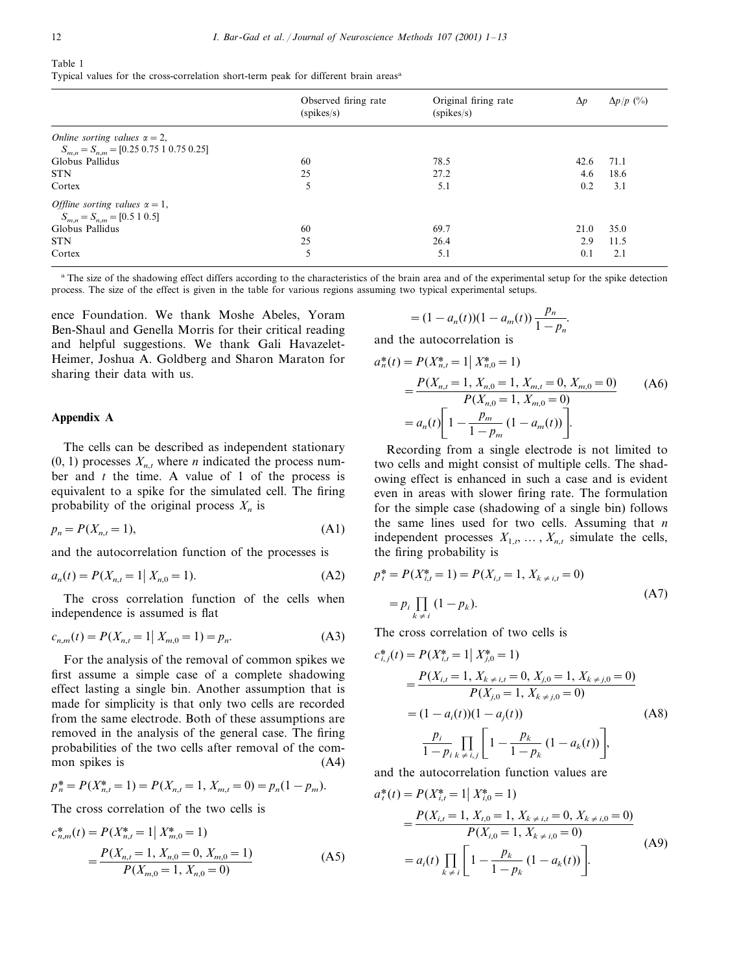Table 1

Typical values for the cross-correlation short-term peak for different brain areas<sup>a</sup>

|                                                           | Observed firing rate<br>(spikes/s) | Original firing rate<br>(splits/s) | $\Delta p$ | $\Delta p/p$ (%) |
|-----------------------------------------------------------|------------------------------------|------------------------------------|------------|------------------|
| Online sorting values $\alpha = 2$ ,                      |                                    |                                    |            |                  |
| $S_{m,n} = S_{n,m} = [0.25 \, 0.75 \, 1 \, 0.75 \, 0.25]$ |                                    |                                    |            |                  |
| Globus Pallidus                                           | 60                                 | 78.5                               | 42.6       | 71.1             |
| <b>STN</b>                                                | 25                                 | 27.2                               | 4.6        | 18.6             |
| Cortex                                                    | 5                                  | 5.1                                | 0.2        | 3.1              |
| <i>Offline sorting values</i> $\alpha = 1$ ,              |                                    |                                    |            |                  |
| $S_{m,n} = S_{n,m} = [0.5 \ 1 \ 0.5]$                     |                                    |                                    |            |                  |
| Globus Pallidus                                           | 60                                 | 69.7                               | 21.0       | 35.0             |
| <b>STN</b>                                                | 25                                 | 26.4                               | 2.9        | 11.5             |
| Cortex                                                    |                                    | 5.1                                | 0.1        | 2.1              |

<sup>a</sup> The size of the shadowing effect differs according to the characteristics of the brain area and of the experimental setup for the spike detection process. The size of the effect is given in the table for various regions assuming two typical experimental setups.

ence Foundation. We thank Moshe Abeles, Yoram Ben-Shaul and Genella Morris for their critical reading and helpful suggestions. We thank Gali Havazelet-Heimer, Joshua A. Goldberg and Sharon Maraton for sharing their data with us.

#### **Appendix A**

The cells can be described as independent stationary  $(0, 1)$  processes  $X_{n,t}$  where *n* indicated the process number and *t* the time. A value of 1 of the process is equivalent to a spike for the simulated cell. The firing probability of the original process  $X_n$  is

$$
p_n = P(X_{n,t} = 1),\tag{A1}
$$

and the autocorrelation function of the processes is

$$
a_n(t) = P(X_{n,t} = 1 | X_{n,0} = 1).
$$
 (A2)

The cross correlation function of the cells when independence is assumed is flat

$$
c_{n,m}(t) = P(X_{n,t} = 1 | X_{m,0} = 1) = p_n.
$$
 (A3)

For the analysis of the removal of common spikes we first assume a simple case of a complete shadowing effect lasting a single bin. Another assumption that is made for simplicity is that only two cells are recorded from the same electrode. Both of these assumptions are removed in the analysis of the general case. The firing probabilities of the two cells after removal of the common spikes is (A4)

$$
p_n^* = P(X_{n,t}^* = 1) = P(X_{n,t} = 1, X_{m,t} = 0) = p_n(1 - p_m).
$$

The cross correlation of the two cells is

$$
c_{n,m}^*(t) = P(X_{n,t}^* = 1 | X_{m,0}^* = 1)
$$
  
= 
$$
\frac{P(X_{n,t} = 1, X_{n,0} = 0, X_{m,0} = 1)}{P(X_{m,0} = 1, X_{n,0} = 0)}
$$
 (A5)

$$
= (1 - a_n(t))(1 - a_m(t)) \frac{p_n}{1 - p_n}.
$$

and the autocorrelation is

$$
a_n^*(t) = P(X_{n,t}^* = 1 | X_{n,0}^* = 1)
$$
  
= 
$$
\frac{P(X_{n,t} = 1, X_{n,0} = 1, X_{m,t} = 0, X_{m,0} = 0)}{P(X_{n,0} = 1, X_{m,0} = 0)}
$$
 (A6)  
= 
$$
a_n(t) \left[ 1 - \frac{p_m}{1 - p_m} (1 - a_m(t)) \right].
$$

Recording from a single electrode is not limited to two cells and might consist of multiple cells. The shadowing effect is enhanced in such a case and is evident even in areas with slower firing rate. The formulation for the simple case (shadowing of a single bin) follows the same lines used for two cells. Assuming that *n* independent processes  $X_{1,t}, \ldots, X_{n,t}$  simulate the cells, the firing probability is

$$
p_t^* = P(X_{i,t}^* = 1) = P(X_{i,t} = 1, X_{k \neq i,t} = 0)
$$
  
=  $p_i \prod_{k \neq i} (1 - p_k).$  (A7)

The cross correlation of two cells is

$$
c_{i,j}^{*}(t) = P(X_{i,t}^{*} = 1 | X_{j,0}^{*} = 1)
$$
  
= 
$$
\frac{P(X_{i,t} = 1, X_{k \neq i,t} = 0, X_{j,0} = 1, X_{k \neq j,0} = 0)}{P(X_{j,0} = 1, X_{k \neq j,0} = 0)}
$$
  
= 
$$
(1 - a_{i}(t))(1 - a_{j}(t))
$$
 (A8)  

$$
\frac{p_{i}}{1 - p_{i}} \prod_{k \neq i,j} \left[1 - \frac{p_{k}}{1 - p_{k}}(1 - a_{k}(t))\right],
$$

and the autocorrelation function values are

$$
a_t^*(t) = P(X_{i,t}^* = 1 | X_{i,0}^* = 1)
$$
  
= 
$$
\frac{P(X_{i,t} = 1, X_{i,0} = 1, X_{k \neq i,t} = 0, X_{k \neq i,0} = 0)}{P(X_{i,0} = 1, X_{k \neq i,0} = 0)}
$$
  
= 
$$
a_i(t) \prod_{k \neq i} \left[1 - \frac{p_k}{1 - p_k} (1 - a_k(t))\right].
$$
 (A9)